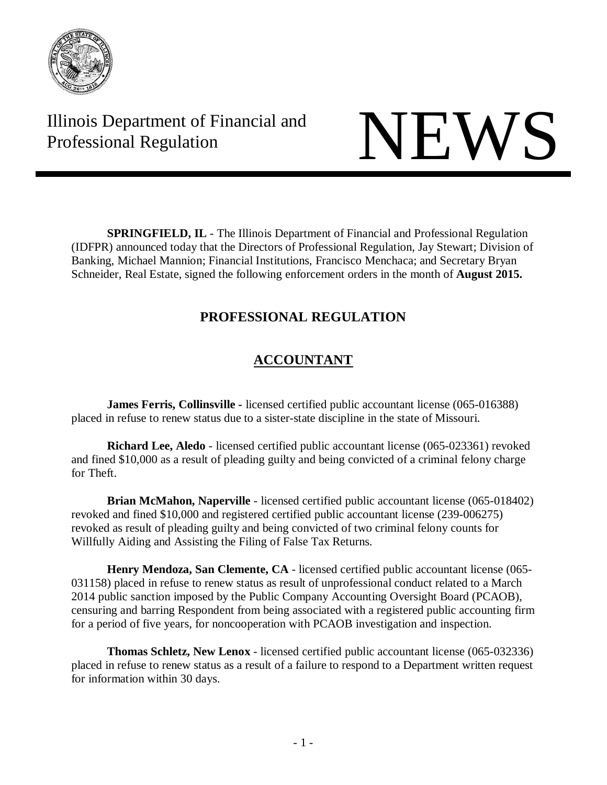

Illinois Department of Financial and THE Professional Regulation NEWS



**SPRINGFIELD, IL** - The Illinois Department of Financial and Professional Regulation (IDFPR) announced today that the Directors of Professional Regulation, Jay Stewart; Division of Banking, Michael Mannion; Financial Institutions, Francisco Menchaca; and Secretary Bryan Schneider, Real Estate, signed the following enforcement orders in the month of **August 2015.**

## **PROFESSIONAL REGULATION**

## **ACCOUNTANT**

**James Ferris, Collinsville -** licensed certified public accountant license (065-016388) placed in refuse to renew status due to a sister-state discipline in the state of Missouri.

**Richard Lee, Aledo** - licensed certified public accountant license (065-023361) revoked and fined \$10,000 as a result of pleading guilty and being convicted of a criminal felony charge for Theft.

**Brian McMahon, Naperville** - licensed certified public accountant license (065-018402) revoked and fined \$10,000 and registered certified public accountant license (239-006275) revoked as result of pleading guilty and being convicted of two criminal felony counts for Willfully Aiding and Assisting the Filing of False Tax Returns.

**Henry Mendoza, San Clemente, CA** - licensed certified public accountant license (065- 031158) placed in refuse to renew status as result of unprofessional conduct related to a March 2014 public sanction imposed by the Public Company Accounting Oversight Board (PCAOB), censuring and barring Respondent from being associated with a registered public accounting firm for a period of five years, for noncooperation with PCAOB investigation and inspection.

**Thomas Schletz, New Lenox** - licensed certified public accountant license (065-032336) placed in refuse to renew status as a result of a failure to respond to a Department written request for information within 30 days.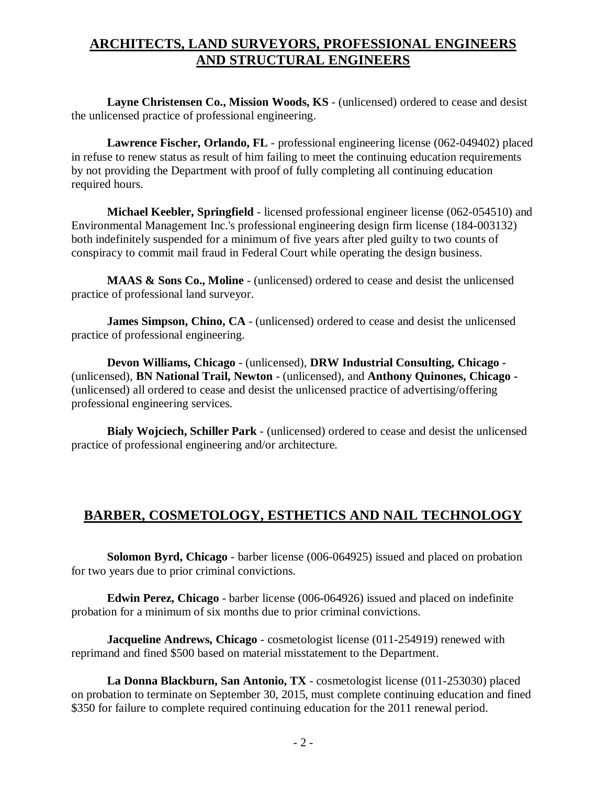# **ARCHITECTS, LAND SURVEYORS, PROFESSIONAL ENGINEERS AND STRUCTURAL ENGINEERS**

**Layne Christensen Co., Mission Woods, KS** - (unlicensed) ordered to cease and desist the unlicensed practice of professional engineering.

**Lawrence Fischer, Orlando, FL** - professional engineering license (062-049402) placed in refuse to renew status as result of him failing to meet the continuing education requirements by not providing the Department with proof of fully completing all continuing education required hours.

**Michael Keebler, Springfield** - licensed professional engineer license (062-054510) and Environmental Management Inc.'s professional engineering design firm license (184-003132) both indefinitely suspended for a minimum of five years after pled guilty to two counts of conspiracy to commit mail fraud in Federal Court while operating the design business.

**MAAS & Sons Co., Moline** - (unlicensed) ordered to cease and desist the unlicensed practice of professional land surveyor.

**James Simpson, Chino, CA** - (unlicensed) ordered to cease and desist the unlicensed practice of professional engineering.

**Devon Williams, Chicago** - (unlicensed), **DRW Industrial Consulting, Chicago -** (unlicensed), **BN National Trail, Newton** - (unlicensed), and **Anthony Quinones, Chicago -** (unlicensed) all ordered to cease and desist the unlicensed practice of advertising/offering professional engineering services.

**Bialy Wojciech, Schiller Park** - (unlicensed) ordered to cease and desist the unlicensed practice of professional engineering and/or architecture.

## **BARBER, COSMETOLOGY, ESTHETICS AND NAIL TECHNOLOGY**

**Solomon Byrd, Chicago** - barber license (006-064925) issued and placed on probation for two years due to prior criminal convictions.

**Edwin Perez, Chicago** - barber license (006-064926) issued and placed on indefinite probation for a minimum of six months due to prior criminal convictions.

**Jacqueline Andrews, Chicago** - cosmetologist license (011-254919) renewed with reprimand and fined \$500 based on material misstatement to the Department.

**La Donna Blackburn, San Antonio, TX** - cosmetologist license (011-253030) placed on probation to terminate on September 30, 2015, must complete continuing education and fined \$350 for failure to complete required continuing education for the 2011 renewal period.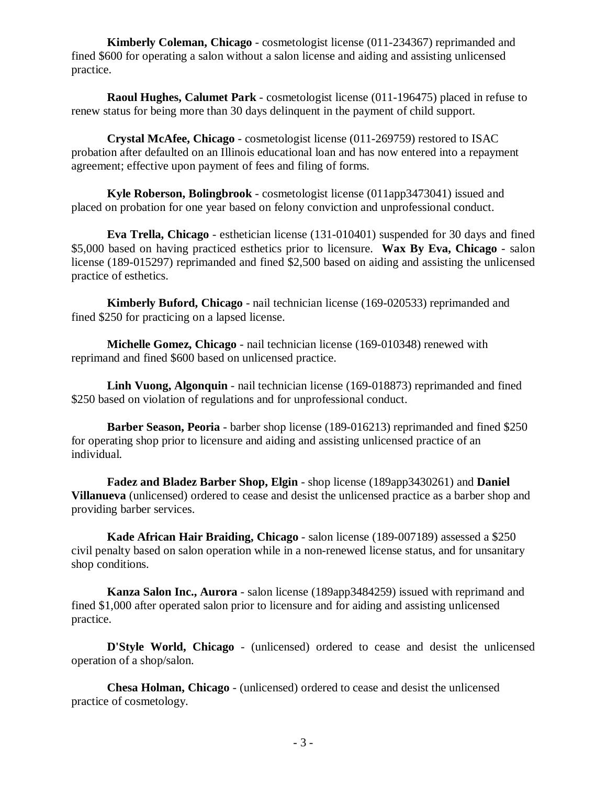**Kimberly Coleman, Chicago** - cosmetologist license (011-234367) reprimanded and fined \$600 for operating a salon without a salon license and aiding and assisting unlicensed practice.

**Raoul Hughes, Calumet Park** - cosmetologist license (011-196475) placed in refuse to renew status for being more than 30 days delinquent in the payment of child support.

**Crystal McAfee, Chicago** - cosmetologist license (011-269759) restored to ISAC probation after defaulted on an Illinois educational loan and has now entered into a repayment agreement; effective upon payment of fees and filing of forms.

**Kyle Roberson, Bolingbrook** - cosmetologist license (011app3473041) issued and placed on probation for one year based on felony conviction and unprofessional conduct.

**Eva Trella, Chicago** - esthetician license (131-010401) suspended for 30 days and fined \$5,000 based on having practiced esthetics prior to licensure. **Wax By Eva, Chicago** - salon license (189-015297) reprimanded and fined \$2,500 based on aiding and assisting the unlicensed practice of esthetics.

**Kimberly Buford, Chicago** - nail technician license (169-020533) reprimanded and fined \$250 for practicing on a lapsed license.

**Michelle Gomez, Chicago** - nail technician license (169-010348) renewed with reprimand and fined \$600 based on unlicensed practice.

**Linh Vuong, Algonquin** - nail technician license (169-018873) reprimanded and fined \$250 based on violation of regulations and for unprofessional conduct.

**Barber Season, Peoria** - barber shop license (189-016213) reprimanded and fined \$250 for operating shop prior to licensure and aiding and assisting unlicensed practice of an individual.

**Fadez and Bladez Barber Shop, Elgin** - shop license (189app3430261) and **Daniel Villanueva** (unlicensed) ordered to cease and desist the unlicensed practice as a barber shop and providing barber services.

**Kade African Hair Braiding, Chicago** - salon license (189-007189) assessed a \$250 civil penalty based on salon operation while in a non-renewed license status, and for unsanitary shop conditions.

**Kanza Salon Inc., Aurora** - salon license (189app3484259) issued with reprimand and fined \$1,000 after operated salon prior to licensure and for aiding and assisting unlicensed practice.

**D'Style World, Chicago** - (unlicensed) ordered to cease and desist the unlicensed operation of a shop/salon.

**Chesa Holman, Chicago** - (unlicensed) ordered to cease and desist the unlicensed practice of cosmetology.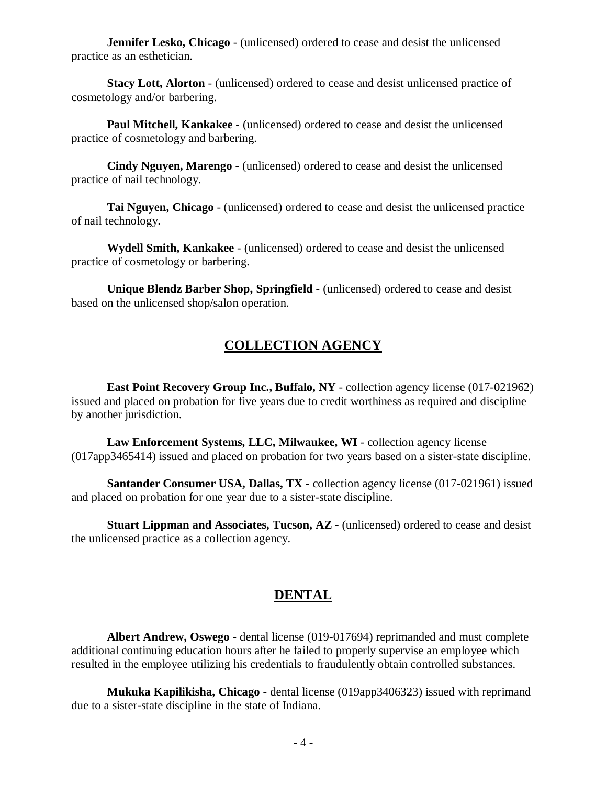**Jennifer Lesko, Chicago** - (unlicensed) ordered to cease and desist the unlicensed practice as an esthetician.

**Stacy Lott, Alorton** - (unlicensed) ordered to cease and desist unlicensed practice of cosmetology and/or barbering.

**Paul Mitchell, Kankakee** - (unlicensed) ordered to cease and desist the unlicensed practice of cosmetology and barbering.

**Cindy Nguyen, Marengo** - (unlicensed) ordered to cease and desist the unlicensed practice of nail technology.

**Tai Nguyen, Chicago** - (unlicensed) ordered to cease and desist the unlicensed practice of nail technology.

**Wydell Smith, Kankakee** - (unlicensed) ordered to cease and desist the unlicensed practice of cosmetology or barbering.

**Unique Blendz Barber Shop, Springfield** - (unlicensed) ordered to cease and desist based on the unlicensed shop/salon operation.

# **COLLECTION AGENCY**

**East Point Recovery Group Inc., Buffalo, NY** - collection agency license (017-021962) issued and placed on probation for five years due to credit worthiness as required and discipline by another jurisdiction.

**Law Enforcement Systems, LLC, Milwaukee, WI** - collection agency license (017app3465414) issued and placed on probation for two years based on a sister-state discipline.

**Santander Consumer USA, Dallas, TX** - collection agency license (017-021961) issued and placed on probation for one year due to a sister-state discipline.

**Stuart Lippman and Associates, Tucson, AZ** - (unlicensed) ordered to cease and desist the unlicensed practice as a collection agency.

## **DENTAL**

**Albert Andrew, Oswego** - dental license (019-017694) reprimanded and must complete additional continuing education hours after he failed to properly supervise an employee which resulted in the employee utilizing his credentials to fraudulently obtain controlled substances.

**Mukuka Kapilikisha, Chicago** - dental license (019app3406323) issued with reprimand due to a sister-state discipline in the state of Indiana.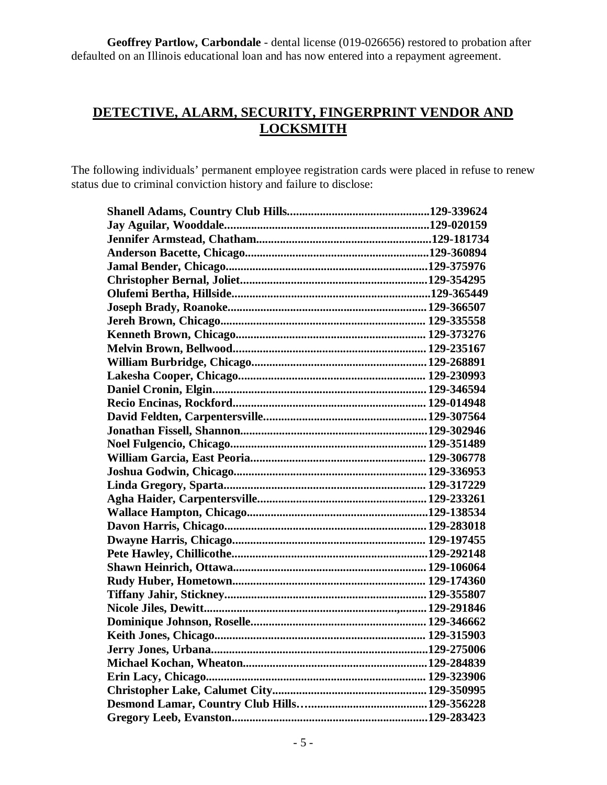**Geoffrey Partlow, Carbondale** - dental license (019-026656) restored to probation after defaulted on an Illinois educational loan and has now entered into a repayment agreement.

## **DETECTIVE, ALARM, SECURITY, FINGERPRINT VENDOR AND LOCKSMITH**

The following individuals' permanent employee registration cards were placed in refuse to renew status due to criminal conviction history and failure to disclose: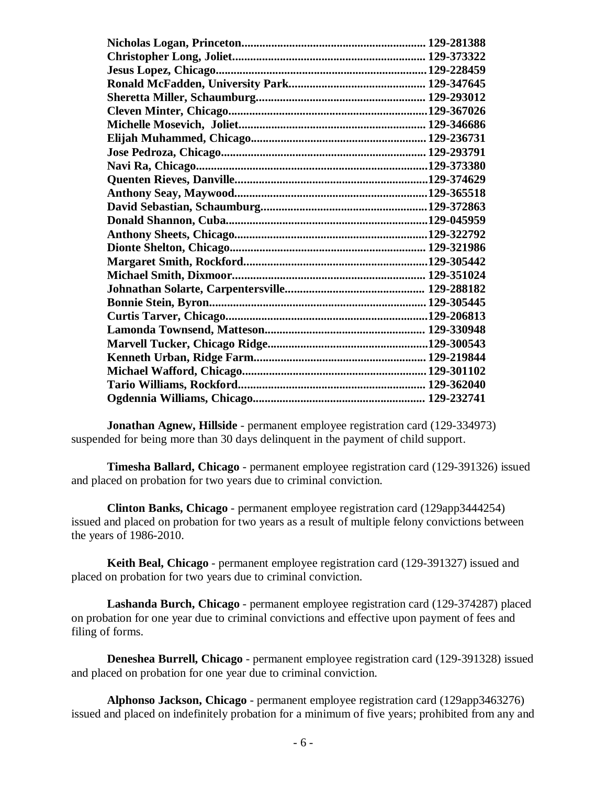**Jonathan Agnew, Hillside** - permanent employee registration card (129-334973) suspended for being more than 30 days delinquent in the payment of child support.

**Timesha Ballard, Chicago** - permanent employee registration card (129-391326) issued and placed on probation for two years due to criminal conviction.

**Clinton Banks, Chicago** - permanent employee registration card (129app3444254) issued and placed on probation for two years as a result of multiple felony convictions between the years of 1986-2010.

**Keith Beal, Chicago** - permanent employee registration card (129-391327) issued and placed on probation for two years due to criminal conviction.

**Lashanda Burch, Chicago** - permanent employee registration card (129-374287) placed on probation for one year due to criminal convictions and effective upon payment of fees and filing of forms.

**Deneshea Burrell, Chicago** - permanent employee registration card (129-391328) issued and placed on probation for one year due to criminal conviction.

**Alphonso Jackson, Chicago** - permanent employee registration card (129app3463276) issued and placed on indefinitely probation for a minimum of five years; prohibited from any and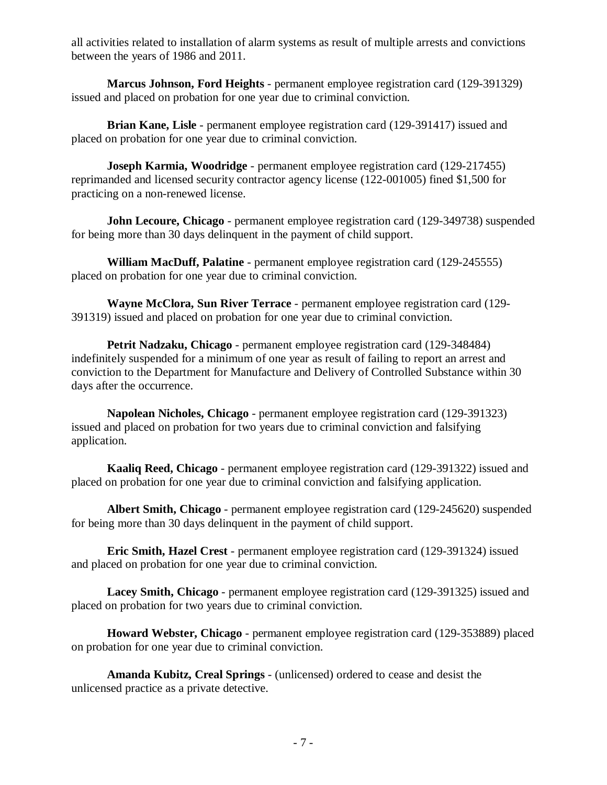all activities related to installation of alarm systems as result of multiple arrests and convictions between the years of 1986 and 2011.

**Marcus Johnson, Ford Heights** - permanent employee registration card (129-391329) issued and placed on probation for one year due to criminal conviction.

**Brian Kane, Lisle** - permanent employee registration card (129-391417) issued and placed on probation for one year due to criminal conviction.

**Joseph Karmia, Woodridge** - permanent employee registration card (129-217455) reprimanded and licensed security contractor agency license (122-001005) fined \$1,500 for practicing on a non-renewed license.

**John Lecoure, Chicago** - permanent employee registration card (129-349738) suspended for being more than 30 days delinquent in the payment of child support.

**William MacDuff, Palatine** - permanent employee registration card (129-245555) placed on probation for one year due to criminal conviction.

**Wayne McClora, Sun River Terrace** - permanent employee registration card (129- 391319) issued and placed on probation for one year due to criminal conviction.

**Petrit Nadzaku, Chicago** - permanent employee registration card (129-348484) indefinitely suspended for a minimum of one year as result of failing to report an arrest and conviction to the Department for Manufacture and Delivery of Controlled Substance within 30 days after the occurrence.

**Napolean Nicholes, Chicago** - permanent employee registration card (129-391323) issued and placed on probation for two years due to criminal conviction and falsifying application.

**Kaaliq Reed, Chicago** - permanent employee registration card (129-391322) issued and placed on probation for one year due to criminal conviction and falsifying application.

**Albert Smith, Chicago** - permanent employee registration card (129-245620) suspended for being more than 30 days delinquent in the payment of child support.

**Eric Smith, Hazel Crest** - permanent employee registration card (129-391324) issued and placed on probation for one year due to criminal conviction.

**Lacey Smith, Chicago** - permanent employee registration card (129-391325) issued and placed on probation for two years due to criminal conviction.

**Howard Webster, Chicago** - permanent employee registration card (129-353889) placed on probation for one year due to criminal conviction.

**Amanda Kubitz, Creal Springs** - (unlicensed) ordered to cease and desist the unlicensed practice as a private detective.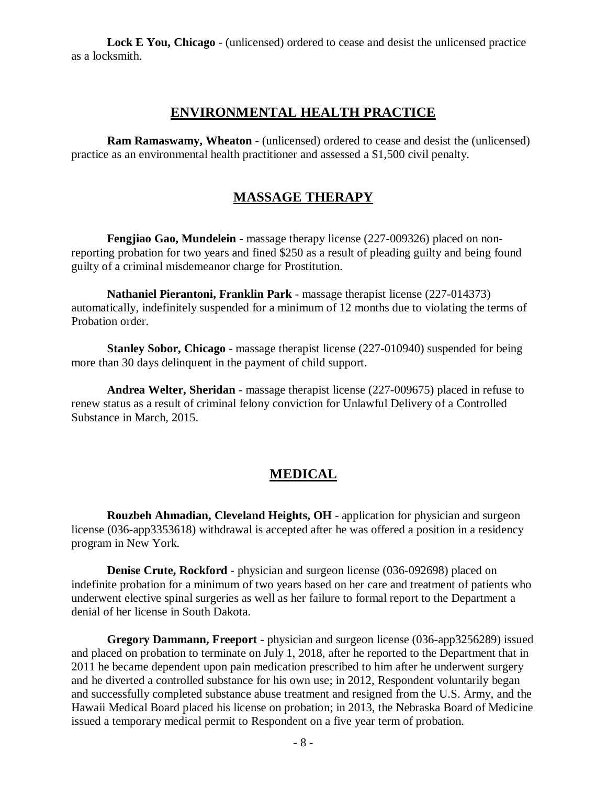**Lock E You, Chicago** - (unlicensed) ordered to cease and desist the unlicensed practice as a locksmith.

### **ENVIRONMENTAL HEALTH PRACTICE**

**Ram Ramaswamy, Wheaton** - (unlicensed) ordered to cease and desist the (unlicensed) practice as an environmental health practitioner and assessed a \$1,500 civil penalty.

### **MASSAGE THERAPY**

**Fengjiao Gao, Mundelein** - massage therapy license (227-009326) placed on nonreporting probation for two years and fined \$250 as a result of pleading guilty and being found guilty of a criminal misdemeanor charge for Prostitution.

**Nathaniel Pierantoni, Franklin Park** - massage therapist license (227-014373) automatically, indefinitely suspended for a minimum of 12 months due to violating the terms of Probation order.

**Stanley Sobor, Chicago** - massage therapist license (227-010940) suspended for being more than 30 days delinquent in the payment of child support.

**Andrea Welter, Sheridan** - massage therapist license (227-009675) placed in refuse to renew status as a result of criminal felony conviction for Unlawful Delivery of a Controlled Substance in March, 2015.

## **MEDICAL**

**Rouzbeh Ahmadian, Cleveland Heights, OH** - application for physician and surgeon license (036-app3353618) withdrawal is accepted after he was offered a position in a residency program in New York.

**Denise Crute, Rockford** - physician and surgeon license (036-092698) placed on indefinite probation for a minimum of two years based on her care and treatment of patients who underwent elective spinal surgeries as well as her failure to formal report to the Department a denial of her license in South Dakota.

**Gregory Dammann, Freeport** - physician and surgeon license (036-app3256289) issued and placed on probation to terminate on July 1, 2018, after he reported to the Department that in 2011 he became dependent upon pain medication prescribed to him after he underwent surgery and he diverted a controlled substance for his own use; in 2012, Respondent voluntarily began and successfully completed substance abuse treatment and resigned from the U.S. Army, and the Hawaii Medical Board placed his license on probation; in 2013, the Nebraska Board of Medicine issued a temporary medical permit to Respondent on a five year term of probation.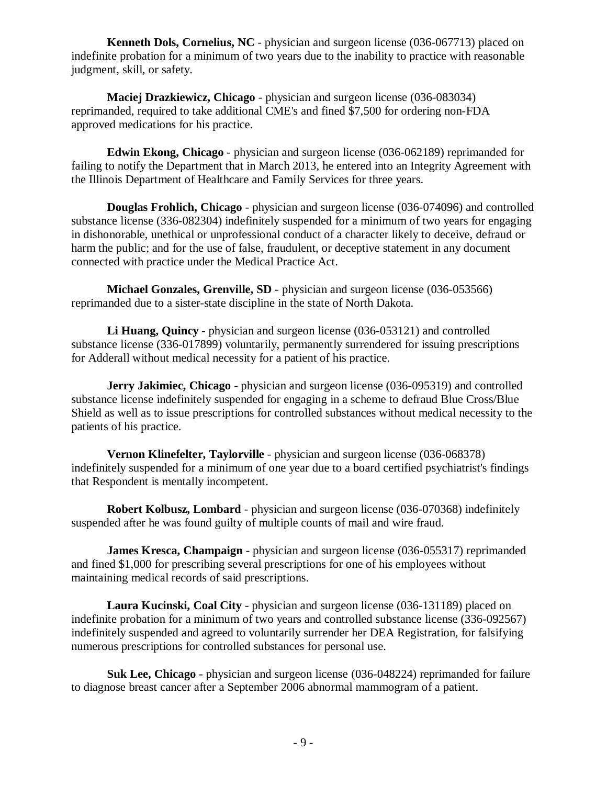**Kenneth Dols, Cornelius, NC** - physician and surgeon license (036-067713) placed on indefinite probation for a minimum of two years due to the inability to practice with reasonable judgment, skill, or safety.

**Maciej Drazkiewicz, Chicago** - physician and surgeon license (036-083034) reprimanded, required to take additional CME's and fined \$7,500 for ordering non-FDA approved medications for his practice.

**Edwin Ekong, Chicago** - physician and surgeon license (036-062189) reprimanded for failing to notify the Department that in March 2013, he entered into an Integrity Agreement with the Illinois Department of Healthcare and Family Services for three years.

**Douglas Frohlich, Chicago** - physician and surgeon license (036-074096) and controlled substance license (336-082304) indefinitely suspended for a minimum of two years for engaging in dishonorable, unethical or unprofessional conduct of a character likely to deceive, defraud or harm the public; and for the use of false, fraudulent, or deceptive statement in any document connected with practice under the Medical Practice Act.

**Michael Gonzales, Grenville, SD** - physician and surgeon license (036-053566) reprimanded due to a sister-state discipline in the state of North Dakota.

**Li Huang, Quincy** - physician and surgeon license (036-053121) and controlled substance license (336-017899) voluntarily, permanently surrendered for issuing prescriptions for Adderall without medical necessity for a patient of his practice.

**Jerry Jakimiec, Chicago** - physician and surgeon license (036-095319) and controlled substance license indefinitely suspended for engaging in a scheme to defraud Blue Cross/Blue Shield as well as to issue prescriptions for controlled substances without medical necessity to the patients of his practice.

**Vernon Klinefelter, Taylorville** - physician and surgeon license (036-068378) indefinitely suspended for a minimum of one year due to a board certified psychiatrist's findings that Respondent is mentally incompetent.

**Robert Kolbusz, Lombard** - physician and surgeon license (036-070368) indefinitely suspended after he was found guilty of multiple counts of mail and wire fraud.

**James Kresca, Champaign** - physician and surgeon license (036-055317) reprimanded and fined \$1,000 for prescribing several prescriptions for one of his employees without maintaining medical records of said prescriptions.

**Laura Kucinski, Coal City** - physician and surgeon license (036-131189) placed on indefinite probation for a minimum of two years and controlled substance license (336-092567) indefinitely suspended and agreed to voluntarily surrender her DEA Registration, for falsifying numerous prescriptions for controlled substances for personal use.

**Suk Lee, Chicago** - physician and surgeon license (036-048224) reprimanded for failure to diagnose breast cancer after a September 2006 abnormal mammogram of a patient.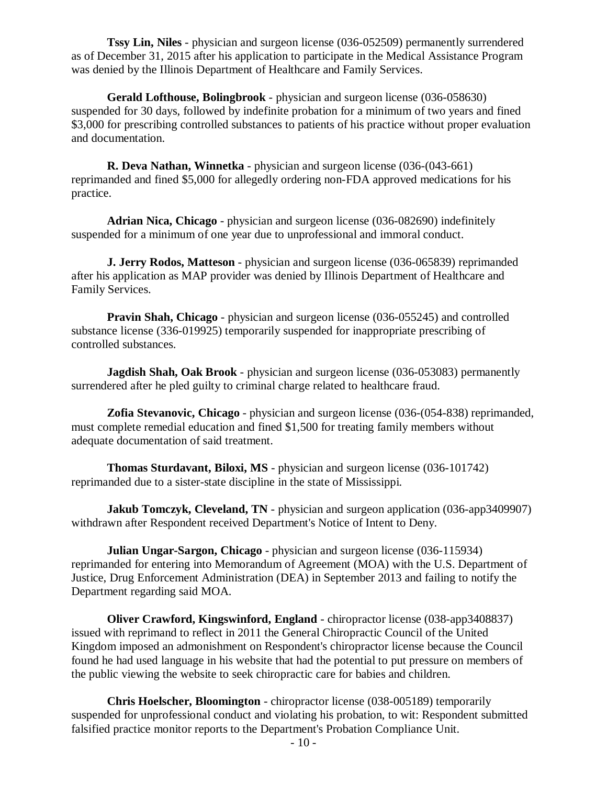**Tssy Lin, Niles** - physician and surgeon license (036-052509) permanently surrendered as of December 31, 2015 after his application to participate in the Medical Assistance Program was denied by the Illinois Department of Healthcare and Family Services.

**Gerald Lofthouse, Bolingbrook** - physician and surgeon license (036-058630) suspended for 30 days, followed by indefinite probation for a minimum of two years and fined \$3,000 for prescribing controlled substances to patients of his practice without proper evaluation and documentation.

**R. Deva Nathan, Winnetka** - physician and surgeon license (036-(043-661) reprimanded and fined \$5,000 for allegedly ordering non-FDA approved medications for his practice.

**Adrian Nica, Chicago** - physician and surgeon license (036-082690) indefinitely suspended for a minimum of one year due to unprofessional and immoral conduct.

**J. Jerry Rodos, Matteson** - physician and surgeon license (036-065839) reprimanded after his application as MAP provider was denied by Illinois Department of Healthcare and Family Services.

**Pravin Shah, Chicago** - physician and surgeon license (036-055245) and controlled substance license (336-019925) temporarily suspended for inappropriate prescribing of controlled substances.

**Jagdish Shah, Oak Brook** - physician and surgeon license (036-053083) permanently surrendered after he pled guilty to criminal charge related to healthcare fraud.

**Zofia Stevanovic, Chicago** - physician and surgeon license (036-(054-838) reprimanded, must complete remedial education and fined \$1,500 for treating family members without adequate documentation of said treatment.

**Thomas Sturdavant, Biloxi, MS** - physician and surgeon license (036-101742) reprimanded due to a sister-state discipline in the state of Mississippi.

**Jakub Tomczyk, Cleveland, TN** - physician and surgeon application (036-app3409907) withdrawn after Respondent received Department's Notice of Intent to Deny.

**Julian Ungar-Sargon, Chicago** - physician and surgeon license (036-115934) reprimanded for entering into Memorandum of Agreement (MOA) with the U.S. Department of Justice, Drug Enforcement Administration (DEA) in September 2013 and failing to notify the Department regarding said MOA.

**Oliver Crawford, Kingswinford, England** - chiropractor license (038-app3408837) issued with reprimand to reflect in 2011 the General Chiropractic Council of the United Kingdom imposed an admonishment on Respondent's chiropractor license because the Council found he had used language in his website that had the potential to put pressure on members of the public viewing the website to seek chiropractic care for babies and children.

**Chris Hoelscher, Bloomington** - chiropractor license (038-005189) temporarily suspended for unprofessional conduct and violating his probation, to wit: Respondent submitted falsified practice monitor reports to the Department's Probation Compliance Unit.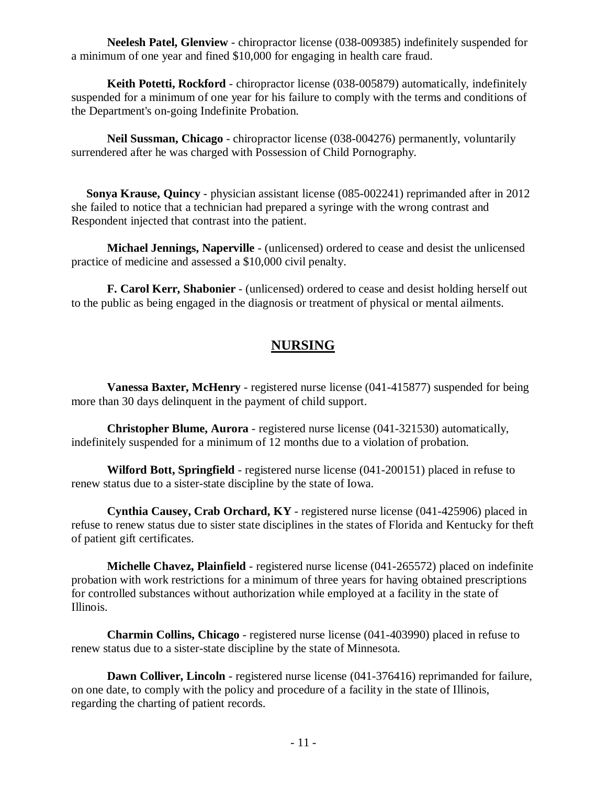**Neelesh Patel, Glenview** - chiropractor license (038-009385) indefinitely suspended for a minimum of one year and fined \$10,000 for engaging in health care fraud.

**Keith Potetti, Rockford** - chiropractor license (038-005879) automatically, indefinitely suspended for a minimum of one year for his failure to comply with the terms and conditions of the Department's on-going Indefinite Probation.

**Neil Sussman, Chicago** - chiropractor license (038-004276) permanently, voluntarily surrendered after he was charged with Possession of Child Pornography.

**Sonya Krause, Quincy** - physician assistant license (085-002241) reprimanded after in 2012 she failed to notice that a technician had prepared a syringe with the wrong contrast and Respondent injected that contrast into the patient.

**Michael Jennings, Naperville** - (unlicensed) ordered to cease and desist the unlicensed practice of medicine and assessed a \$10,000 civil penalty.

**F. Carol Kerr, Shabonier** - (unlicensed) ordered to cease and desist holding herself out to the public as being engaged in the diagnosis or treatment of physical or mental ailments.

# **NURSING**

**Vanessa Baxter, McHenry** - registered nurse license (041-415877) suspended for being more than 30 days delinquent in the payment of child support.

**Christopher Blume, Aurora** - registered nurse license (041-321530) automatically, indefinitely suspended for a minimum of 12 months due to a violation of probation.

**Wilford Bott, Springfield** - registered nurse license (041-200151) placed in refuse to renew status due to a sister-state discipline by the state of Iowa.

**Cynthia Causey, Crab Orchard, KY** - registered nurse license (041-425906) placed in refuse to renew status due to sister state disciplines in the states of Florida and Kentucky for theft of patient gift certificates.

**Michelle Chavez, Plainfield** - registered nurse license (041-265572) placed on indefinite probation with work restrictions for a minimum of three years for having obtained prescriptions for controlled substances without authorization while employed at a facility in the state of Illinois.

**Charmin Collins, Chicago** - registered nurse license (041-403990) placed in refuse to renew status due to a sister-state discipline by the state of Minnesota.

**Dawn Colliver, Lincoln** - registered nurse license (041-376416) reprimanded for failure, on one date, to comply with the policy and procedure of a facility in the state of Illinois, regarding the charting of patient records.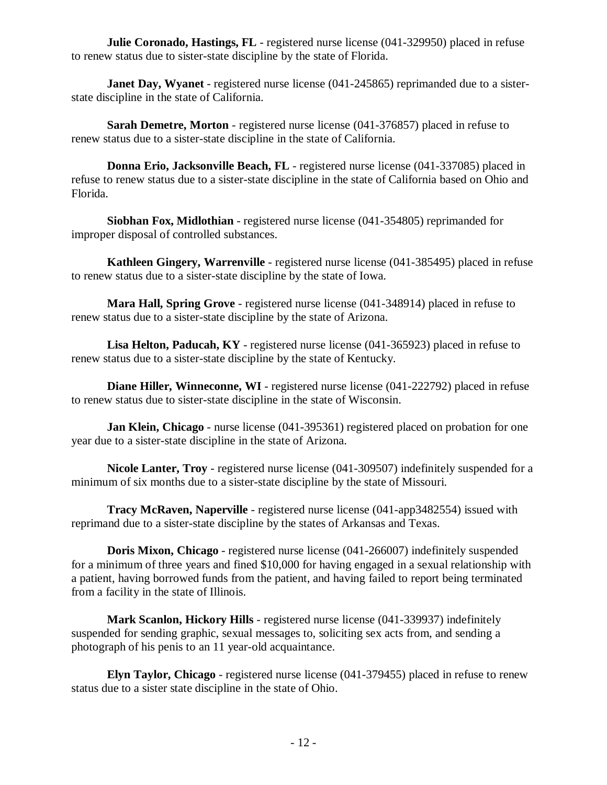**Julie Coronado, Hastings, FL** - registered nurse license (041-329950) placed in refuse to renew status due to sister-state discipline by the state of Florida.

**Janet Day, Wyanet** - registered nurse license (041-245865) reprimanded due to a sisterstate discipline in the state of California.

**Sarah Demetre, Morton** - registered nurse license (041-376857) placed in refuse to renew status due to a sister-state discipline in the state of California.

**Donna Erio, Jacksonville Beach, FL** - registered nurse license (041-337085) placed in refuse to renew status due to a sister-state discipline in the state of California based on Ohio and Florida.

**Siobhan Fox, Midlothian** - registered nurse license (041-354805) reprimanded for improper disposal of controlled substances.

**Kathleen Gingery, Warrenville** - registered nurse license (041-385495) placed in refuse to renew status due to a sister-state discipline by the state of Iowa.

**Mara Hall, Spring Grove** - registered nurse license (041-348914) placed in refuse to renew status due to a sister-state discipline by the state of Arizona.

**Lisa Helton, Paducah, KY** - registered nurse license (041-365923) placed in refuse to renew status due to a sister-state discipline by the state of Kentucky.

**Diane Hiller, Winneconne, WI** - registered nurse license (041-222792) placed in refuse to renew status due to sister-state discipline in the state of Wisconsin.

**Jan Klein, Chicago** - nurse license (041-395361) registered placed on probation for one year due to a sister-state discipline in the state of Arizona.

**Nicole Lanter, Troy** - registered nurse license (041-309507) indefinitely suspended for a minimum of six months due to a sister-state discipline by the state of Missouri.

**Tracy McRaven, Naperville** - registered nurse license (041-app3482554) issued with reprimand due to a sister-state discipline by the states of Arkansas and Texas.

**Doris Mixon, Chicago** - registered nurse license (041-266007) indefinitely suspended for a minimum of three years and fined \$10,000 for having engaged in a sexual relationship with a patient, having borrowed funds from the patient, and having failed to report being terminated from a facility in the state of Illinois.

**Mark Scanlon, Hickory Hills** - registered nurse license (041-339937) indefinitely suspended for sending graphic, sexual messages to, soliciting sex acts from, and sending a photograph of his penis to an 11 year-old acquaintance.

**Elyn Taylor, Chicago** - registered nurse license (041-379455) placed in refuse to renew status due to a sister state discipline in the state of Ohio.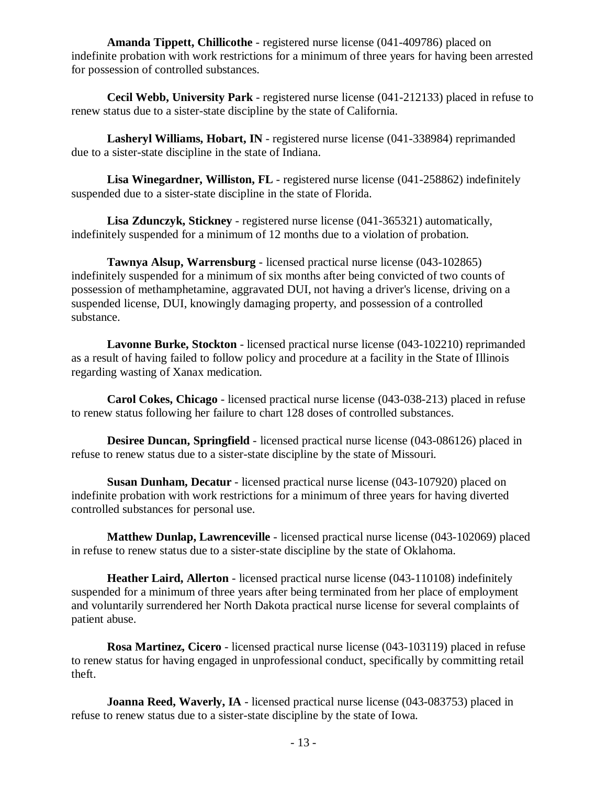**Amanda Tippett, Chillicothe** - registered nurse license (041-409786) placed on indefinite probation with work restrictions for a minimum of three years for having been arrested for possession of controlled substances.

**Cecil Webb, University Park** - registered nurse license (041-212133) placed in refuse to renew status due to a sister-state discipline by the state of California.

**Lasheryl Williams, Hobart, IN** - registered nurse license (041-338984) reprimanded due to a sister-state discipline in the state of Indiana.

**Lisa Winegardner, Williston, FL** - registered nurse license (041-258862) indefinitely suspended due to a sister-state discipline in the state of Florida.

**Lisa Zdunczyk, Stickney** - registered nurse license (041-365321) automatically, indefinitely suspended for a minimum of 12 months due to a violation of probation.

**Tawnya Alsup, Warrensburg** - licensed practical nurse license (043-102865) indefinitely suspended for a minimum of six months after being convicted of two counts of possession of methamphetamine, aggravated DUI, not having a driver's license, driving on a suspended license, DUI, knowingly damaging property, and possession of a controlled substance.

**Lavonne Burke, Stockton** - licensed practical nurse license (043-102210) reprimanded as a result of having failed to follow policy and procedure at a facility in the State of Illinois regarding wasting of Xanax medication.

**Carol Cokes, Chicago** - licensed practical nurse license (043-038-213) placed in refuse to renew status following her failure to chart 128 doses of controlled substances.

**Desiree Duncan, Springfield** - licensed practical nurse license (043-086126) placed in refuse to renew status due to a sister-state discipline by the state of Missouri.

**Susan Dunham, Decatur** - licensed practical nurse license (043-107920) placed on indefinite probation with work restrictions for a minimum of three years for having diverted controlled substances for personal use.

**Matthew Dunlap, Lawrenceville** - licensed practical nurse license (043-102069) placed in refuse to renew status due to a sister-state discipline by the state of Oklahoma.

**Heather Laird, Allerton** - licensed practical nurse license (043-110108) indefinitely suspended for a minimum of three years after being terminated from her place of employment and voluntarily surrendered her North Dakota practical nurse license for several complaints of patient abuse.

**Rosa Martinez, Cicero** - licensed practical nurse license (043-103119) placed in refuse to renew status for having engaged in unprofessional conduct, specifically by committing retail theft.

**Joanna Reed, Waverly, IA** - licensed practical nurse license (043-083753) placed in refuse to renew status due to a sister-state discipline by the state of Iowa.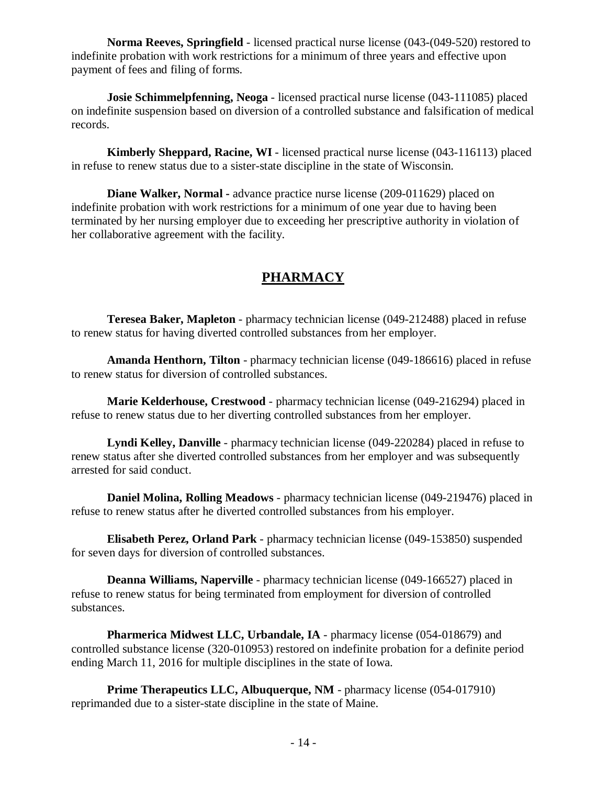**Norma Reeves, Springfield** - licensed practical nurse license (043-(049-520) restored to indefinite probation with work restrictions for a minimum of three years and effective upon payment of fees and filing of forms.

**Josie Schimmelpfenning, Neoga** - licensed practical nurse license (043-111085) placed on indefinite suspension based on diversion of a controlled substance and falsification of medical records.

**Kimberly Sheppard, Racine, WI** - licensed practical nurse license (043-116113) placed in refuse to renew status due to a sister-state discipline in the state of Wisconsin.

**Diane Walker, Normal -** advance practice nurse license (209-011629) placed on indefinite probation with work restrictions for a minimum of one year due to having been terminated by her nursing employer due to exceeding her prescriptive authority in violation of her collaborative agreement with the facility.

# **PHARMACY**

**Teresea Baker, Mapleton** - pharmacy technician license (049-212488) placed in refuse to renew status for having diverted controlled substances from her employer.

**Amanda Henthorn, Tilton** - pharmacy technician license (049-186616) placed in refuse to renew status for diversion of controlled substances.

**Marie Kelderhouse, Crestwood** - pharmacy technician license (049-216294) placed in refuse to renew status due to her diverting controlled substances from her employer.

**Lyndi Kelley, Danville** - pharmacy technician license (049-220284) placed in refuse to renew status after she diverted controlled substances from her employer and was subsequently arrested for said conduct.

**Daniel Molina, Rolling Meadows** - pharmacy technician license (049-219476) placed in refuse to renew status after he diverted controlled substances from his employer.

**Elisabeth Perez, Orland Park** - pharmacy technician license (049-153850) suspended for seven days for diversion of controlled substances.

**Deanna Williams, Naperville** - pharmacy technician license (049-166527) placed in refuse to renew status for being terminated from employment for diversion of controlled substances.

**Pharmerica Midwest LLC, Urbandale, IA** - pharmacy license (054-018679) and controlled substance license (320-010953) restored on indefinite probation for a definite period ending March 11, 2016 for multiple disciplines in the state of Iowa.

**Prime Therapeutics LLC, Albuquerque, NM** - pharmacy license (054-017910) reprimanded due to a sister-state discipline in the state of Maine.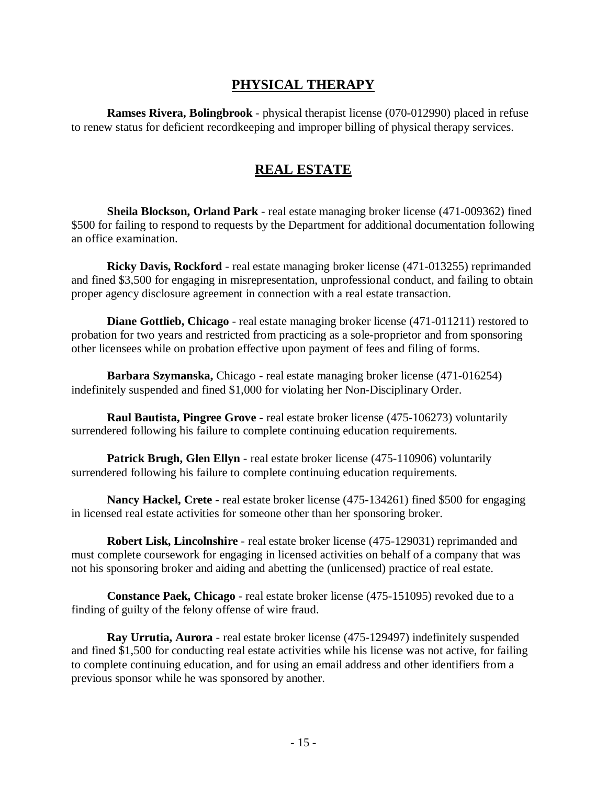### **PHYSICAL THERAPY**

**Ramses Rivera, Bolingbrook** - physical therapist license (070-012990) placed in refuse to renew status for deficient recordkeeping and improper billing of physical therapy services.

#### **REAL ESTATE**

**Sheila Blockson, Orland Park** - real estate managing broker license (471-009362) fined \$500 for failing to respond to requests by the Department for additional documentation following an office examination.

**Ricky Davis, Rockford** - real estate managing broker license (471-013255) reprimanded and fined \$3,500 for engaging in misrepresentation, unprofessional conduct, and failing to obtain proper agency disclosure agreement in connection with a real estate transaction.

**Diane Gottlieb, Chicago** - real estate managing broker license (471-011211) restored to probation for two years and restricted from practicing as a sole-proprietor and from sponsoring other licensees while on probation effective upon payment of fees and filing of forms.

**Barbara Szymanska,** Chicago - real estate managing broker license (471-016254) indefinitely suspended and fined \$1,000 for violating her Non-Disciplinary Order.

**Raul Bautista, Pingree Grove** - real estate broker license (475-106273) voluntarily surrendered following his failure to complete continuing education requirements.

**Patrick Brugh, Glen Ellyn** - real estate broker license (475-110906) voluntarily surrendered following his failure to complete continuing education requirements.

**Nancy Hackel, Crete** - real estate broker license (475-134261) fined \$500 for engaging in licensed real estate activities for someone other than her sponsoring broker.

**Robert Lisk, Lincolnshire** - real estate broker license (475-129031) reprimanded and must complete coursework for engaging in licensed activities on behalf of a company that was not his sponsoring broker and aiding and abetting the (unlicensed) practice of real estate.

**Constance Paek, Chicago** - real estate broker license (475-151095) revoked due to a finding of guilty of the felony offense of wire fraud.

**Ray Urrutia, Aurora** - real estate broker license (475-129497) indefinitely suspended and fined \$1,500 for conducting real estate activities while his license was not active, for failing to complete continuing education, and for using an email address and other identifiers from a previous sponsor while he was sponsored by another.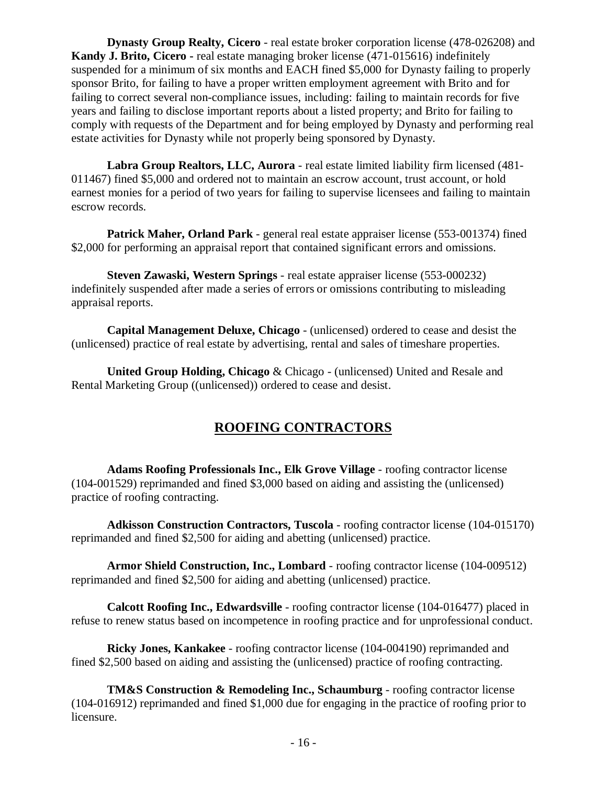**Dynasty Group Realty, Cicero** - real estate broker corporation license (478-026208) and **Kandy J. Brito, Cicero -** real estate managing broker license (471-015616) indefinitely suspended for a minimum of six months and EACH fined \$5,000 for Dynasty failing to properly sponsor Brito, for failing to have a proper written employment agreement with Brito and for failing to correct several non-compliance issues, including: failing to maintain records for five years and failing to disclose important reports about a listed property; and Brito for failing to comply with requests of the Department and for being employed by Dynasty and performing real estate activities for Dynasty while not properly being sponsored by Dynasty.

**Labra Group Realtors, LLC, Aurora** - real estate limited liability firm licensed (481- 011467) fined \$5,000 and ordered not to maintain an escrow account, trust account, or hold earnest monies for a period of two years for failing to supervise licensees and failing to maintain escrow records.

**Patrick Maher, Orland Park** - general real estate appraiser license (553-001374) fined \$2,000 for performing an appraisal report that contained significant errors and omissions.

**Steven Zawaski, Western Springs** - real estate appraiser license (553-000232) indefinitely suspended after made a series of errors or omissions contributing to misleading appraisal reports.

**Capital Management Deluxe, Chicago** - (unlicensed) ordered to cease and desist the (unlicensed) practice of real estate by advertising, rental and sales of timeshare properties.

**United Group Holding, Chicago** & Chicago - (unlicensed) United and Resale and Rental Marketing Group ((unlicensed)) ordered to cease and desist.

# **ROOFING CONTRACTORS**

**Adams Roofing Professionals Inc., Elk Grove Village** - roofing contractor license (104-001529) reprimanded and fined \$3,000 based on aiding and assisting the (unlicensed) practice of roofing contracting.

**Adkisson Construction Contractors, Tuscola** - roofing contractor license (104-015170) reprimanded and fined \$2,500 for aiding and abetting (unlicensed) practice.

**Armor Shield Construction, Inc., Lombard** - roofing contractor license (104-009512) reprimanded and fined \$2,500 for aiding and abetting (unlicensed) practice.

**Calcott Roofing Inc., Edwardsville** - roofing contractor license (104-016477) placed in refuse to renew status based on incompetence in roofing practice and for unprofessional conduct.

**Ricky Jones, Kankakee** - roofing contractor license (104-004190) reprimanded and fined \$2,500 based on aiding and assisting the (unlicensed) practice of roofing contracting.

**TM&S Construction & Remodeling Inc., Schaumburg** - roofing contractor license (104-016912) reprimanded and fined \$1,000 due for engaging in the practice of roofing prior to licensure.